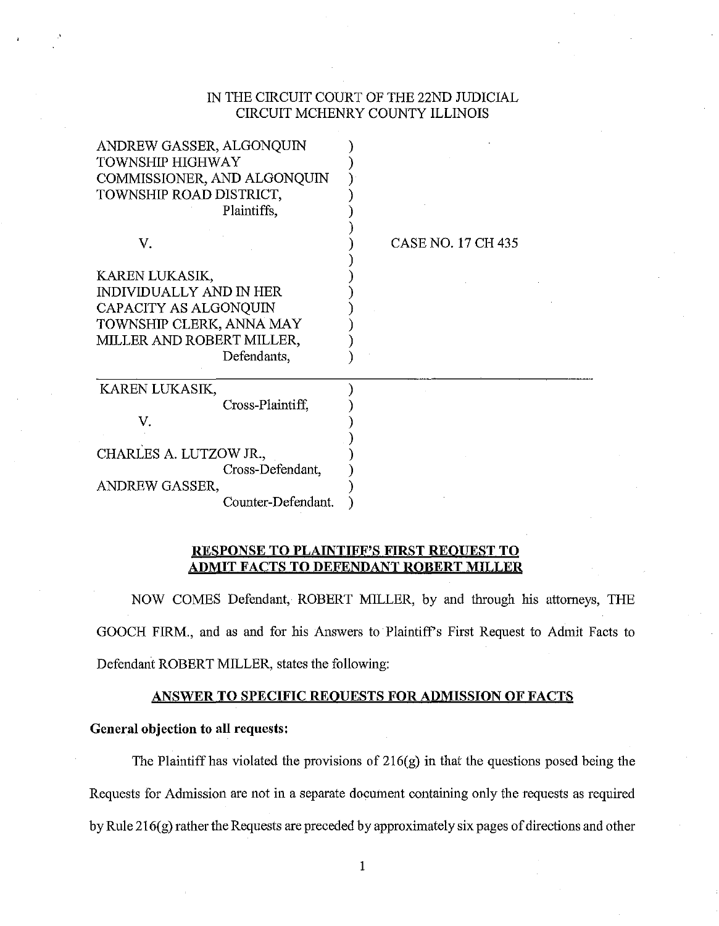# IN THE CIRCUIT COURT OF THE 22ND JUDICIAL CIRCUIT MCHENRY COUNTY ILLINOIS

| ANDREW GASSER, ALGONQUIN<br><b>TOWNSHIP HIGHWAY</b><br>COMMISSIONER, AND ALGONQUIN<br>TOWNSHIP ROAD DISTRICT,<br>Plaintiffs,                      |                    |  |
|---------------------------------------------------------------------------------------------------------------------------------------------------|--------------------|--|
| V.                                                                                                                                                | CASE NO. 17 CH 435 |  |
| KAREN LUKASIK,<br><b>INDIVIDUALLY AND IN HER</b><br>CAPACITY AS ALGONQUIN<br>TOWNSHIP CLERK, ANNA MAY<br>MILLER AND ROBERT MILLER,<br>Defendants, |                    |  |
| KAREN LUKASIK,                                                                                                                                    |                    |  |
| Cross-Plaintiff,                                                                                                                                  |                    |  |
| V.                                                                                                                                                |                    |  |
| CHARLES A. LUTZOW JR.,                                                                                                                            |                    |  |
| Cross-Defendant,                                                                                                                                  |                    |  |
| ANDREW GASSER,                                                                                                                                    |                    |  |
| Counter-Defendant.                                                                                                                                |                    |  |

# **RESPONSE TO PLAINTIFF'S FIRST REOUEST TO ADMIT FACTS TO DEFENDANT ROBERT MILLER**

NOW COMES Defendant, ROBERT MILLER, by and through his attorneys, THE GOOCH FIRM., and as and for his Answers to Plaintiffs First Request to Admit Facts to Defendant ROBERT MILLER, states the following:

# **ANSWER TO SPECIFIC REOUESTS FOR ADMISSION OF FACTS**

# **General objection to all requests:**

The Plaintiff has violated the provisions of 216(g) in that the questions posed being the Requests for Admission are not in a separate document containing only the requests as required by Rule  $216(g)$  rather the Requests are preceded by approximately six pages of directions and other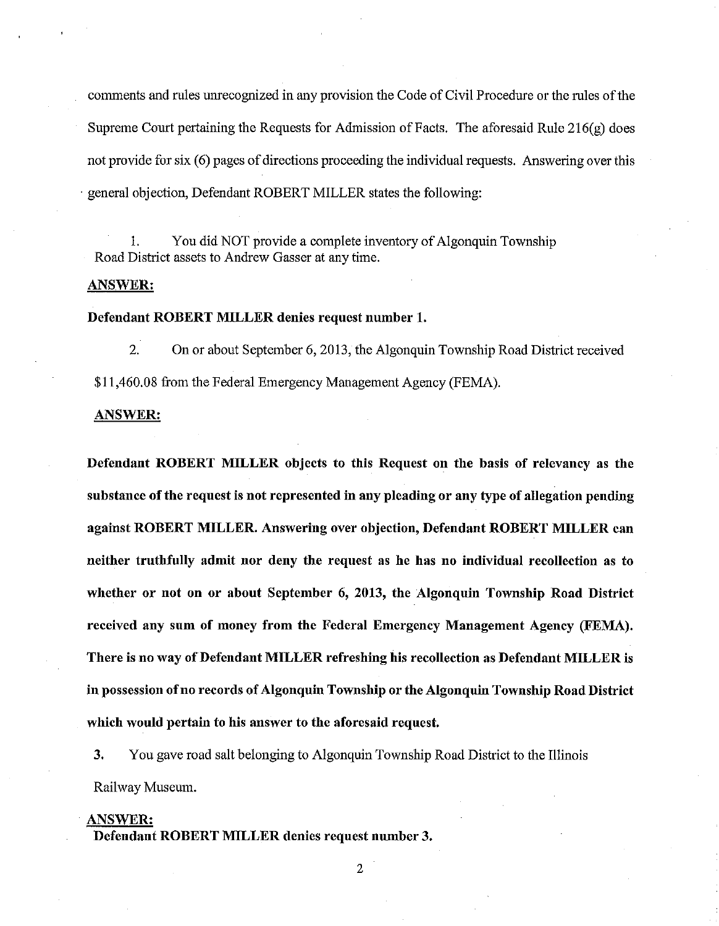comments and rules unrecognized in any provision the Code of Civil Procedure or the rules of the Supreme Court pertaining the Requests for Admission of Facts. The aforesaid Rule  $216(g)$  does not provide for six (6) pages of directions proceeding the individual requests. Answering over this · general objection, Defendant ROBERT MILLER states the following:

I. You did NOT provide a complete inventory of Algonquin Township Road District assets to Andrew Gasser at any time.

## ANSWER:

# Defendant ROBERT MILLER denies request number 1.

2. On or about September 6, 2013, the Algonquin Township Road District received \$11,460.08 from the Federal Emergency Management Agency (FEMA).

#### ANSWER:

Defendant ROBERT MILLER objects to this Request on the basis of relevancy as the substance of the request is not represented in any pleading or any type of allegation pending against ROBERT MILLER. Answering over objection, Defendant ROBERT MILLER can neither truthfully admit nor deny the request as he has no individual recollection as to whether or not on or about September 6, 2013, the Algonquin Township Road District received any sum of money from the Federal Emergency Management Agency (FEMA). There is no way of Defendant MILLER refreshing his recollection as Defendant MILLER is in possession of no records of Algonquin Township or the Algonquin Township Road District which would pertain to his answer to the aforesaid request.

3. You gave road salt belonging to Algonquin Township Road District to the Illinois Railway Museum.

#### ANSWER:

Defendant ROBERT MILLER denies request number 3.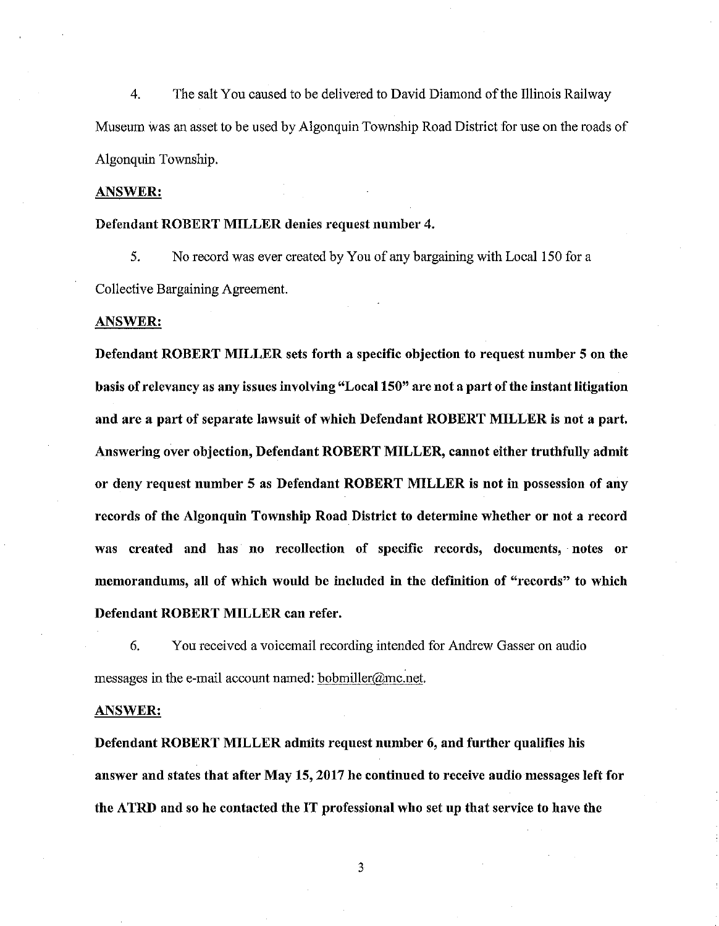4. The salt You caused to be delivered to David Diamond of the Illinois Railway Museum was an asset to be used by Algonquin Township Road District for use on the roads of Algonquin Township.

ANSWER:

#### Defendant ROBERT MILLER denies request number 4.

5. No record was ever created by You of any bargaining with Local 150 for a Collective Bargaining Agreement.

#### ANSWER:

Defendant ROBERT MILLER sets forth a specific objection to request number 5 on the basis of relevancy as any issues involving "Local 150" are not a part of the instant litigation and are a part of separate lawsuit of which Defendant ROBERT MILLER is not a part. Answering over objection, Defendant ROBERT MILLER, cannot either truthfully admit or deny request number 5 as Defendant ROBERT MILLER is not in possession of any records of the Algonquin Township Road District to determine whether or not a record was created and has no recollection of specific records, documents, notes or memorandums, all of which would be included in the definition of "records" to which Defendant ROBERT MILLER can refer.

6. You received a voicemail recording intended for Andrew Gasser on audio messages in the e-mail account named: bobmiller@mc.net.

#### ANSWER:

Defendant ROBERT MILLER admits request number 6, and further qualifies his answer and states that after May 15, 2017 he continued to receive audio messages left for the ATRD and so he contacted the IT professional who set up that service to have the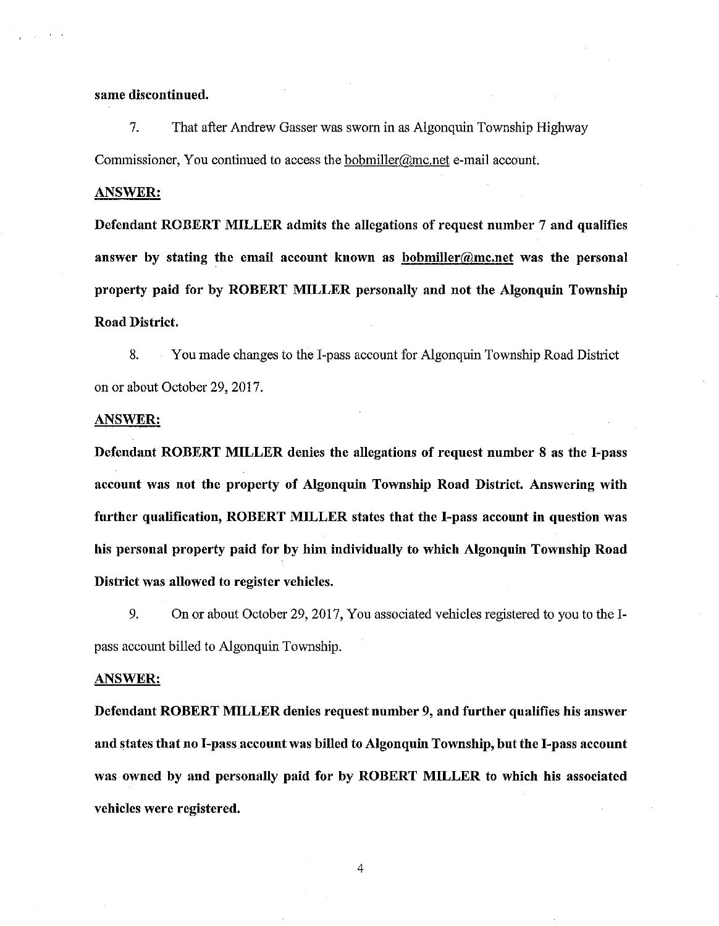## same discontinued.

7. That after Andrew Gasser was sworn in as Algonquin Township Highway Commissioner, You continued to access the bobmiller@mc.net e-mail account.

### ANSWER:

Defendant ROBERT MILLER admits the allegations of request number 7 and qualifies answer by stating the email account known as bobmiller@mc.net was the personal property paid for by ROBERT MILLER personally and not the Algonquin Township Road District.

8. You made changes to the I-pass account for Algonquin Township Road District on or about October 29, 2017.

### ANSWER:

Defendant ROBERT MILLER denies the allegations of request number 8 as the I-pass account was not the property of Algonquin Township Road District. Answering with further qualification, ROBERT MILLER states that the I-pass account in question was his personal property paid for by him individually to which Algonquin Township Road District was allowed to register vehicles.

9. On or about October 29, 2017, You associated vehicles registered to you to the Ipass account billed to Algonquin Township.

## ANSWER:

Defendant ROBERT MILLER denies request number 9, and further qualifies his answer and states that no I-pass account was billed to Algonquin Township, but the I-pass account was owned by and personally paid for by ROBERT MILLER to which his associated vehicles were registered.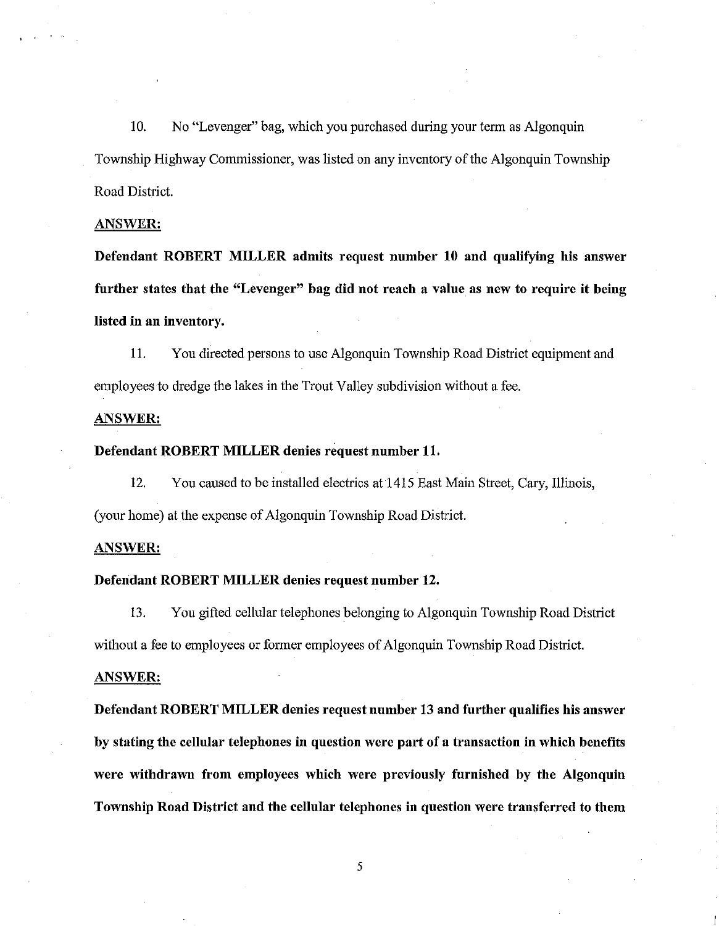10. No "Levenger" bag, which you purchased during your term as Algonquin Township Highway Commissioner, was listed on any inventory of the Algonquin Township Road District.

## ANSWER:

Defendant ROBERT MILLER admits request number 10 and qualifying his answer further states that the "Levenger" bag did not reach a value as new to require it being listed in an inventory.

11. You directed persons to use Algonquin Township Road District equipment and employees to dredge the lakes in the Trout Valley subdivision without a fee.

## ANSWER:

### Defendant ROBERT MILLER denies request number 11.

12. You caused to be installed electrics at 1415 East Main Street, Cary, Illinois, (your home) at the expense of Algonquin Township Road District.

### ANSWER:

### Defendant ROBERT MILLER denies request number 12.

13. You gifted cellular telephones belonging to Algonquin Township Road District without a fee to employees or former employees of Algonquin Township Road District.

### ANSWER:

Defendant ROBERT MILLER denies request number 13 and further qualifies his answer by stating the cellular telephones in question were part of a transaction in which benefits were withdrawn from employees which were previously furnished by the Algonquin Township Road District and the cellular telephones in question were transferred to them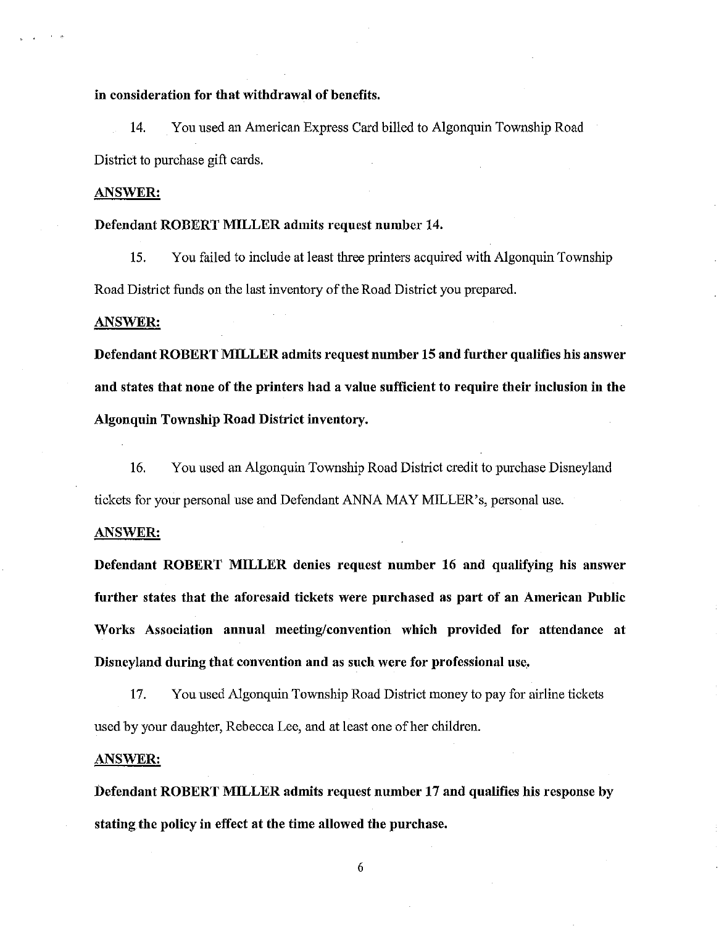### in consideration for that withdrawal of benefits.

14. You used an American Express Card billed to Algonquin Township Road District to purchase gift cards.

### ANSWER:

#### Defendant ROBERT MILLER admits request number 14.

15. You failed to include at least three printers acquired with Algonquin Township Road District funds on the last inventory of the Road District you prepared.

#### ANSWER:

Defendant ROBERT MILLER admits request number 15 and further qualifies his answer and states that none of the printers had a value sufficient to require their inclusion in the Algonquin Township Road District inventory.

16. You used an Algonquin Township Road District credit to purchase Disneyland tickets for your personal use and Defendant ANNA MAY MILLER's, personal use.

#### ANSWER:

Defendant ROBERT MILLER denies request number 16 and qualifying his answer further states that the aforesaid tickets were purchased as part of an American Public Works Association annual meeting/convention which provided for attendance at Disneyland during that convention and as such were for professional use,

17. You used Algonquin Township Road District money to pay for airline tickets used by your daughter, Rebecca Lee, and at least one of her children.

#### ANSWER:

Defendant ROBERT MILLER admits request number 17 and qualifies his response by stating. the policy in effect at the time allowed the purchase.